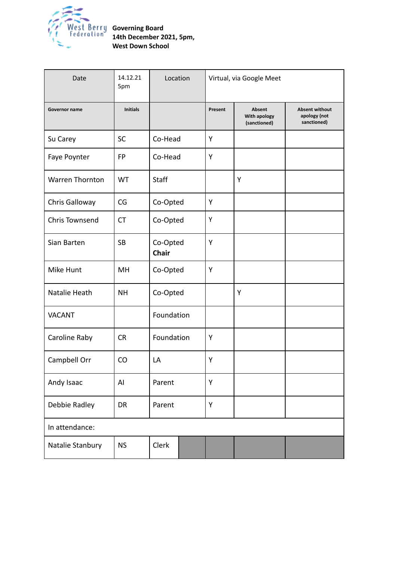

| Date                   | 14.12.21<br>5pm | Location                 |  | Virtual, via Google Meet |                                               |                                                      |
|------------------------|-----------------|--------------------------|--|--------------------------|-----------------------------------------------|------------------------------------------------------|
| Governor name          | <b>Initials</b> |                          |  | Present                  | <b>Absent</b><br>With apology<br>(sanctioned) | <b>Absent without</b><br>apology (not<br>sanctioned) |
| Su Carey               | <b>SC</b>       | Co-Head                  |  | Y                        |                                               |                                                      |
| Faye Poynter           | <b>FP</b>       | Co-Head                  |  | Υ                        |                                               |                                                      |
| <b>Warren Thornton</b> | WT              | <b>Staff</b>             |  |                          | Υ                                             |                                                      |
| Chris Galloway         | CG              | Co-Opted                 |  | Υ                        |                                               |                                                      |
| Chris Townsend         | <b>CT</b>       | Co-Opted                 |  | Υ                        |                                               |                                                      |
| Sian Barten            | <b>SB</b>       | Co-Opted<br><b>Chair</b> |  | Y                        |                                               |                                                      |
| Mike Hunt              | MH              | Co-Opted                 |  | Y                        |                                               |                                                      |
| Natalie Heath          | <b>NH</b>       | Co-Opted                 |  |                          | Y                                             |                                                      |
| <b>VACANT</b>          |                 | Foundation               |  |                          |                                               |                                                      |
| Caroline Raby          | <b>CR</b>       | Foundation               |  | Y                        |                                               |                                                      |
| Campbell Orr           | CO              | LA                       |  | Υ                        |                                               |                                                      |
| Andy Isaac             | AI              | Parent                   |  | Υ                        |                                               |                                                      |
| Debbie Radley          | DR              | Parent                   |  | Υ                        |                                               |                                                      |
| In attendance:         |                 |                          |  |                          |                                               |                                                      |
| Natalie Stanbury       | <b>NS</b>       | Clerk                    |  |                          |                                               |                                                      |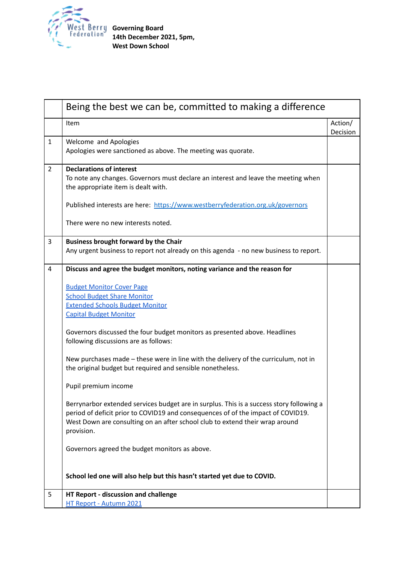

|                | Being the best we can be, committed to making a difference                                                                                                                                                                                                                 |                     |  |  |  |
|----------------|----------------------------------------------------------------------------------------------------------------------------------------------------------------------------------------------------------------------------------------------------------------------------|---------------------|--|--|--|
|                | Item                                                                                                                                                                                                                                                                       | Action/<br>Decision |  |  |  |
| $\mathbf{1}$   | Welcome and Apologies<br>Apologies were sanctioned as above. The meeting was quorate.                                                                                                                                                                                      |                     |  |  |  |
| $\overline{2}$ | <b>Declarations of interest</b><br>To note any changes. Governors must declare an interest and leave the meeting when<br>the appropriate item is dealt with.                                                                                                               |                     |  |  |  |
|                | Published interests are here: https://www.westberryfederation.org.uk/governors                                                                                                                                                                                             |                     |  |  |  |
|                | There were no new interests noted.                                                                                                                                                                                                                                         |                     |  |  |  |
| $\overline{3}$ | <b>Business brought forward by the Chair</b><br>Any urgent business to report not already on this agenda - no new business to report.                                                                                                                                      |                     |  |  |  |
| $\overline{4}$ | Discuss and agree the budget monitors, noting variance and the reason for                                                                                                                                                                                                  |                     |  |  |  |
|                | <b>Budget Monitor Cover Page</b><br><b>School Budget Share Monitor</b><br><b>Extended Schools Budget Monitor</b><br><b>Capital Budget Monitor</b>                                                                                                                          |                     |  |  |  |
|                | Governors discussed the four budget monitors as presented above. Headlines<br>following discussions are as follows:                                                                                                                                                        |                     |  |  |  |
|                | New purchases made - these were in line with the delivery of the curriculum, not in<br>the original budget but required and sensible nonetheless.                                                                                                                          |                     |  |  |  |
|                | Pupil premium income                                                                                                                                                                                                                                                       |                     |  |  |  |
|                | Berrynarbor extended services budget are in surplus. This is a success story following a<br>period of deficit prior to COVID19 and consequences of of the impact of COVID19.<br>West Down are consulting on an after school club to extend their wrap around<br>provision. |                     |  |  |  |
|                | Governors agreed the budget monitors as above.                                                                                                                                                                                                                             |                     |  |  |  |
|                | School led one will also help but this hasn't started yet due to COVID.                                                                                                                                                                                                    |                     |  |  |  |
| 5              | HT Report - discussion and challenge<br>HT Report - Autumn 2021                                                                                                                                                                                                            |                     |  |  |  |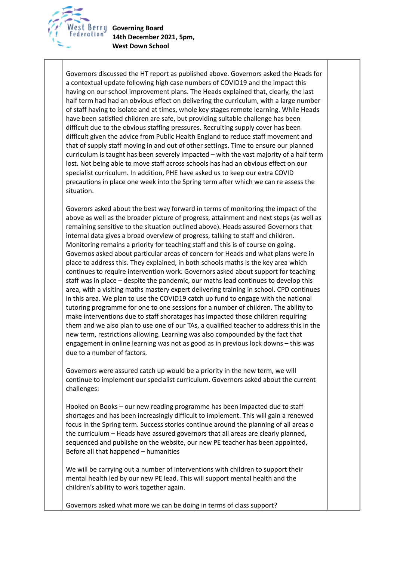

**Governing Board 14th December 2021, 5pm, West Down School**

Governors discussed the HT report as published above. Governors asked the Heads for a contextual update following high case numbers of COVID19 and the impact this having on our school improvement plans. The Heads explained that, clearly, the last half term had had an obvious effect on delivering the curriculum, with a large number of staff having to isolate and at times, whole key stages remote learning. While Heads have been satisfied children are safe, but providing suitable challenge has been difficult due to the obvious staffing pressures. Recruiting supply cover has been difficult given the advice from Public Health England to reduce staff movement and that of supply staff moving in and out of other settings. Time to ensure our planned curriculum is taught has been severely impacted – with the vast majority of a half term lost. Not being able to move staff across schools has had an obvious effect on our specialist curriculum. In addition, PHE have asked us to keep our extra COVID precautions in place one week into the Spring term after which we can re assess the situation.

Goverors asked about the best way forward in terms of monitoring the impact of the above as well as the broader picture of progress, attainment and next steps (as well as remaining sensitive to the situation outlined above). Heads assured Governors that internal data gives a broad overview of progress, talking to staff and children. Monitoring remains a priority for teaching staff and this is of course on going. Governos asked about particular areas of concern for Heads and what plans were in place to address this. They explained, in both schools maths is the key area which continues to require intervention work. Governors asked about support for teaching staff was in place – despite the pandemic, our maths lead continues to develop this area, with a visiting maths mastery expert delivering training in school. CPD continues in this area. We plan to use the COVID19 catch up fund to engage with the national tutoring programme for one to one sessions for a number of children. The ability to make interventions due to staff shoratages has impacted those children requiring them and we also plan to use one of our TAs, a qualified teacher to address this in the new term, restrictions allowing. Learning was also compounded by the fact that engagement in online learning was not as good as in previous lock downs – this was due to a number of factors.

Governors were assured catch up would be a priority in the new term, we will continue to implement our specialist curriculum. Governors asked about the current challenges:

Hooked on Books – our new reading programme has been impacted due to staff shortages and has been increasingly difficult to implement. This will gain a renewed focus in the Spring term. Success stories continue around the planning of all areas o the curriculum – Heads have assured governors that all areas are clearly planned, sequenced and publishe on the website, our new PE teacher has been appointed, Before all that happened – humanities

We will be carrying out a number of interventions with children to support their mental health led by our new PE lead. This will support mental health and the children's ability to work together again.

Governors asked what more we can be doing in terms of class support?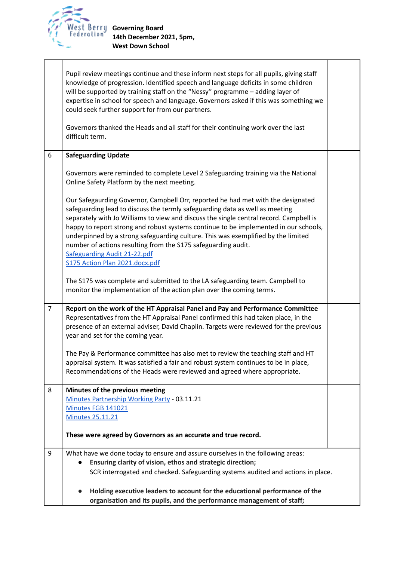

|                | Pupil review meetings continue and these inform next steps for all pupils, giving staff<br>knowledge of progression. Identified speech and language deficits in some children<br>will be supported by training staff on the "Nessy" programme - adding layer of<br>expertise in school for speech and language. Governors asked if this was something we<br>could seek further support for from our partners.<br>Governors thanked the Heads and all staff for their continuing work over the last<br>difficult term.                                                      |  |
|----------------|----------------------------------------------------------------------------------------------------------------------------------------------------------------------------------------------------------------------------------------------------------------------------------------------------------------------------------------------------------------------------------------------------------------------------------------------------------------------------------------------------------------------------------------------------------------------------|--|
| 6              | <b>Safeguarding Update</b>                                                                                                                                                                                                                                                                                                                                                                                                                                                                                                                                                 |  |
|                | Governors were reminded to complete Level 2 Safeguarding training via the National<br>Online Safety Platform by the next meeting.                                                                                                                                                                                                                                                                                                                                                                                                                                          |  |
|                | Our Safegaurding Governor, Campbell Orr, reported he had met with the designated<br>safeguarding lead to discuss the termly safeguarding data as well as meeting<br>separately with Jo Williams to view and discuss the single central record. Campbell is<br>happy to report strong and robust systems continue to be implemented in our schools,<br>underpinned by a strong safeguarding culture. This was exemplified by the limited<br>number of actions resulting from the S175 safeguarding audit.<br>Safeguarding Audit 21-22.pdf<br>S175 Action Plan 2021.docx.pdf |  |
|                | The S175 was complete and submitted to the LA safeguarding team. Campbell to<br>monitor the implementation of the action plan over the coming terms.                                                                                                                                                                                                                                                                                                                                                                                                                       |  |
| $\overline{7}$ | Report on the work of the HT Appraisal Panel and Pay and Performance Committee<br>Representatives from the HT Appraisal Panel confirmed this had taken place, in the<br>presence of an external adviser, David Chaplin. Targets were reviewed for the previous<br>year and set for the coming year.                                                                                                                                                                                                                                                                        |  |
|                | The Pay & Performance committee has also met to review the teaching staff and HT<br>appraisal system. It was satisfied a fair and robust system continues to be in place,<br>Recommendations of the Heads were reviewed and agreed where appropriate.                                                                                                                                                                                                                                                                                                                      |  |
| 8              | Minutes of the previous meeting<br>Minutes Partnership Working Party - 03.11.21<br>Minutes FGB 141021<br><b>Minutes 25.11.21</b>                                                                                                                                                                                                                                                                                                                                                                                                                                           |  |
|                | These were agreed by Governors as an accurate and true record.                                                                                                                                                                                                                                                                                                                                                                                                                                                                                                             |  |
| 9              | What have we done today to ensure and assure ourselves in the following areas:<br>Ensuring clarity of vision, ethos and strategic direction;<br>SCR interrogated and checked. Safeguarding systems audited and actions in place.                                                                                                                                                                                                                                                                                                                                           |  |
|                | Holding executive leaders to account for the educational performance of the<br>organisation and its pupils, and the performance management of staff;                                                                                                                                                                                                                                                                                                                                                                                                                       |  |